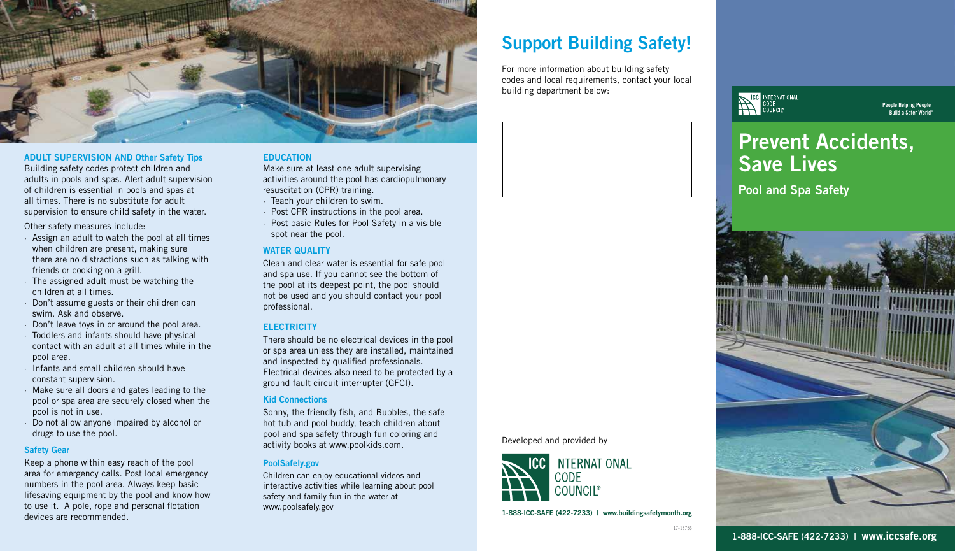

#### ADULT SUPERVISION AND Other Safety Tips

Building safety codes protect children and adults in pools and spas. Alert adult supervision of children is essential in pools and spas at all times. There is no substitute for adult supervision to ensure child safety in the water.

Other safety measures include:

- · Assign an adult to watch the pool at all times when children are present, making sure there are no distractions such as talking with friends or cooking on a grill.
- · The assigned adult must be watching the children at all times.
- · Don't assume guests or their children can swim. Ask and observe.
- · Don't leave toys in or around the pool area.
- · Toddlers and infants should have physical contact with an adult at all times while in the pool area.
- · Infants and small children should have constant supervision.
- · Make sure all doors and gates leading to the pool or spa area are securely closed when the pool is not in use.
- · Do not allow anyone impaired by alcohol or drugs to use the pool.

#### Safety Gear

Keep a phone within easy reach of the pool area for emergency calls. Post local emergency numbers in the pool area. Always keep basic lifesaving equipment by the pool and know how to use it. A pole, rope and personal flotation devices are recommended.

#### **EDUCATION**

Make sure at least one adult supervising activities around the pool has cardiopulmonary resuscitation (CPR) training.

- · Teach your children to swim.
- · Post CPR instructions in the pool area.
- · Post basic Rules for Pool Safety in a visible spot near the pool.

#### WATER QUALITY

Clean and clear water is essential for safe pool and spa use. If you cannot see the bottom of the pool at its deepest point, the pool should not be used and you should contact your pool professional.

#### **ELECTRICITY**

There should be no electrical devices in the pool or spa area unless they are installed, maintained and inspected by qualified professionals. Electrical devices also need to be protected by a ground fault circuit interrupter (GFCI).

#### Kid Connections

Sonny, the friendly fish, and Bubbles, the safe hot tub and pool buddy, teach children about pool and spa safety through fun coloring and activity books at www.poolkids.com.

#### PoolSafely.gov

Children can enjoy educational videos and interactive activities while learning about pool safety and family fun in the water at www.poolsafely.gov

## Support Building Safety!

For more information about building safety codes and local requirements, contact your local building department below:



#### People Helping People Build a Safer World®

# **Prevent Accidents, Save Lives**

**Pool and Spa Safety** 



1-888-ICC-SAFE (422-7233) | www.buildingsafetymonth.org

**INTERNATIONAL** 

Developed and provided by

CODE **COUNCII**®